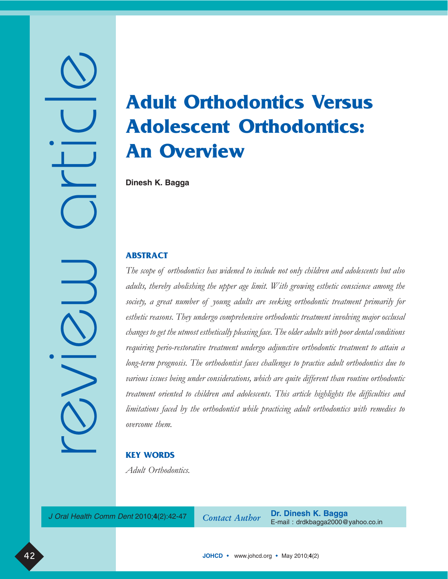# Adult Orthodontics Versus Adolescent Orthodontics: An Overview

**Dinesh K. Bagga**

# ABSTRACT

review article

 $\overline{\phantom{a}}$ 

The scope of orthodontics has widened to include not only children and adolescents but also adults, thereby abolishing the upper age limit. With growing esthetic conscience among the society, a great number of young adults are seeking orthodontic treatment primarily for esthetic reasons. They undergo comprehensive orthodontic treatment involving major occlusal changes to get the utmost esthetically pleasing face. The older adults with poor dental conditions requiring perio-restorative treatment undergo adjunctive orthodontic treatment to attain a long-term prognosis. The orthodontist faces challenges to practice adult orthodontics due to various issues being under considerations, which are quite different than routine orthodontic treatment oriented to children and adolescents. This article highlights the difficulties and limitations faced by the orthodontist while practicing adult orthodontics with remedies to overcome them.

# KEY WORDS

Adult Orthodontics.

J Oral Health Comm Dent 2010;4(2):42-47 Contact Author

**Dr. Dinesh K. Bagga** E-mail : drdkbagga2000@yahoo.co.in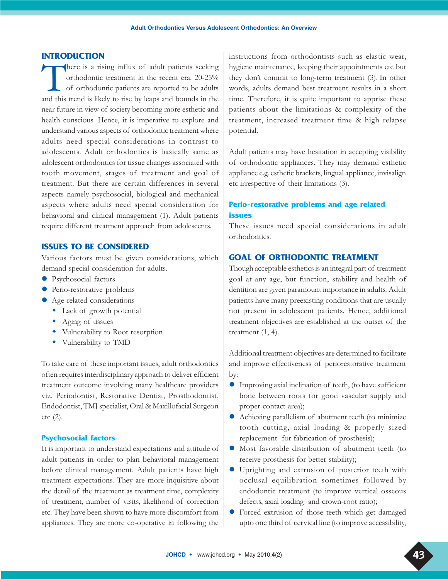#### INTRODUCTION

There is a rising influx of adult patients seeking<br>orthodontic treatment in the recent era. 20-25%<br>of orthodontic patients are reported to be adults<br>and this trend is likely to rise by leaps and bounds in the orthodontic treatment in the recent era. 20-25% of orthodontic patients are reported to be adults and this trend is likely to rise by leaps and bounds in the near future in view of society becoming more esthetic and health conscious. Hence, it is imperative to explore and understand various aspects of orthodontic treatment where adults need special considerations in contrast to adolescents. Adult orthodontics is basically same as adolescent orthodontics for tissue changes associated with tooth movement, stages of treatment and goal of treatment. But there are certain differences in several aspects namely psychosocial, biological and mechanical aspects where adults need special consideration for behavioral and clinical management (1). Adult patients require different treatment approach from adolescents.

## ISSUES TO BE CONSIDERED

Various factors must be given considerations, which demand special consideration for adults.

- Psychosocial factors
- Perio-restorative problems
- Age related considerations
	- Lack of growth potential
	- Aging of tissues
	- $\ddot{\bullet}$ Vulnerability to Root resorption
	- $\ddot{\bullet}$ Vulnerability to TMD

To take care of these important issues, adult orthodontics often requires interdisciplinary approach to deliver efficient treatment outcome involving many healthcare providers viz. Periodontist, Restorative Dentist, Prosthodontist, Endodontist, TMJ specialist, Oral & Maxillofacial Surgeon etc (2).

#### Psychosocial factors

It is important to understand expectations and attitude of adult patients in order to plan behavioral management before clinical management. Adult patients have high treatment expectations. They are more inquisitive about the detail of the treatment as treatment time, complexity of treatment, number of visits, likelihood of correction etc. They have been shown to have more discomfort from appliances. They are more co-operative in following the instructions from orthodontists such as elastic wear, hygiene maintenance, keeping their appointments etc but they don't commit to long-term treatment (3). In other words, adults demand best treatment results in a short time. Therefore, it is quite important to apprise these patients about the limitations & complexity of the treatment, increased treatment time & high relapse potential.

Adult patients may have hesitation in accepting visibility of orthodontic appliances. They may demand esthetic appliance e.g. esthetic brackets, lingual appliance, invisalign etc irrespective of their limitations (3).

# Perio-restorative problems and age related issues

These issues need special considerations in adult orthodontics.

## GOAL OF ORTHODONTIC TREATMENT

Though acceptable esthetics is an integral part of treatment goal at any age, but function, stability and health of dentition are given paramount importance in adults. Adult patients have many preexisting conditions that are usually not present in adolescent patients. Hence, additional treatment objectives are established at the outset of the treatment (1, 4).

Additional treatment objectives are determined to facilitate and improve effectiveness of periorestorative treatment by:

- Improving axial inclination of teeth, (to have sufficient bone between roots for good vascular supply and proper contact area);
- Achieving parallelism of abutment teeth (to minimize tooth cutting, axial loading & properly sized replacement for fabrication of prosthesis);
- Most favorable distribution of abutment teeth (to receive prosthesis for better stability);
- Uprighting and extrusion of posterior teeth with occlusal equilibration sometimes followed by endodontic treatment (to improve vertical osseous defects, axial loading and crown-root ratio);
- Forced extrusion of those teeth which get damaged upto one third of cervical line (to improve accessibility,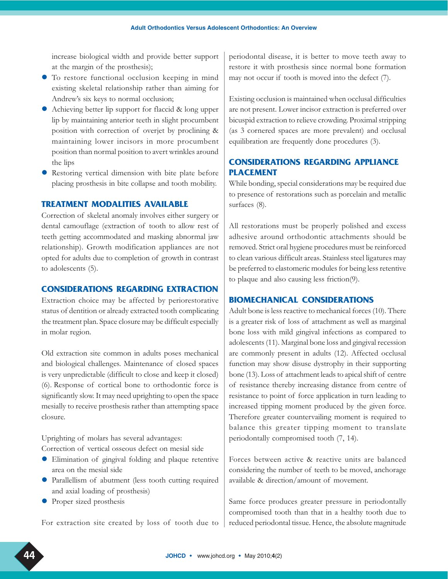increase biological width and provide better support at the margin of the prosthesis);

- To restore functional occlusion keeping in mind existing skeletal relationship rather than aiming for Andrew's six keys to normal occlusion;
- Achieving better lip support for flaccid & long upper lip by maintaining anterior teeth in slight procumbent position with correction of overjet by proclining & maintaining lower incisors in more procumbent position than normal position to avert wrinkles around the lips
- Restoring vertical dimension with bite plate before placing prosthesis in bite collapse and tooth mobility.

## TREATMENT MODALITIES AVAILABLE

Correction of skeletal anomaly involves either surgery or dental camouflage (extraction of tooth to allow rest of teeth getting accommodated and masking abnormal jaw relationship). Growth modification appliances are not opted for adults due to completion of growth in contrast to adolescents (5).

## CONSIDERATIONS REGARDING EXTRACTION

Extraction choice may be affected by periorestorative status of dentition or already extracted tooth complicating the treatment plan. Space closure may be difficult especially in molar region.

Old extraction site common in adults poses mechanical and biological challenges. Maintenance of closed spaces is very unpredictable (difficult to close and keep it closed) (6). Response of cortical bone to orthodontic force is significantly slow. It may need uprighting to open the space mesially to receive prosthesis rather than attempting space closure.

Uprighting of molars has several advantages: Correction of vertical osseous defect on mesial side

- Elimination of gingival folding and plaque retentive area on the mesial side
- Parallellism of abutment (less tooth cutting required and axial loading of prosthesis)
- Proper sized prosthesis

For extraction site created by loss of tooth due to

periodontal disease, it is better to move teeth away to restore it with prosthesis since normal bone formation may not occur if tooth is moved into the defect (7).

Existing occlusion is maintained when occlusal difficulties are not present. Lower incisor extraction is preferred over bicuspid extraction to relieve crowding. Proximal stripping (as 3 cornered spaces are more prevalent) and occlusal equilibration are frequently done procedures (3).

# CONSIDERATIONS REGARDING APPLIANCE PLACEMENT

While bonding, special considerations may be required due to presence of restorations such as porcelain and metallic surfaces (8).

All restorations must be properly polished and excess adhesive around orthodontic attachments should be removed. Strict oral hygiene procedures must be reinforced to clean various difficult areas. Stainless steel ligatures may be preferred to elastomeric modules for being less retentive to plaque and also causing less friction(9).

## BIOMECHANICAL CONSIDERATIONS

Adult bone is less reactive to mechanical forces (10). There is a greater risk of loss of attachment as well as marginal bone loss with mild gingival infections as compared to adolescents (11). Marginal bone loss and gingival recession are commonly present in adults (12). Affected occlusal function may show disuse dystrophy in their supporting bone (13). Loss of attachment leads to apical shift of centre of resistance thereby increasing distance from centre of resistance to point of force application in turn leading to increased tipping moment produced by the given force. Therefore greater countervailing moment is required to balance this greater tipping moment to translate periodontally compromised tooth (7, 14).

Forces between active & reactive units are balanced considering the number of teeth to be moved, anchorage available & direction/amount of movement.

Same force produces greater pressure in periodontally compromised tooth than that in a healthy tooth due to reduced periodontal tissue. Hence, the absolute magnitude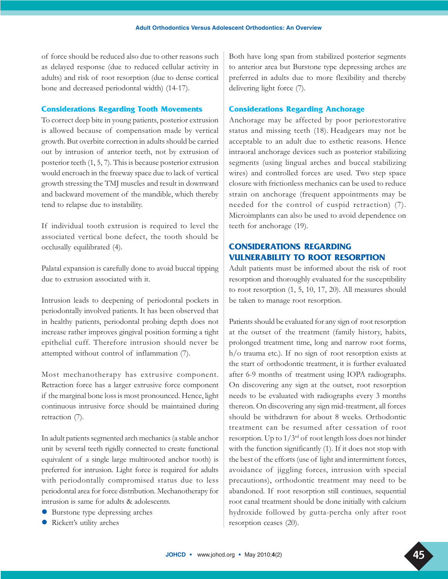of force should be reduced also due to other reasons such as delayed response (due to reduced cellular activity in adults) and risk of root resorption (due to dense cortical bone and decreased periodontal width) (14-17).

#### Considerations Regarding Tooth Movements

To correct deep bite in young patients, posterior extrusion is allowed because of compensation made by vertical growth. But overbite correction in adults should be carried out by intrusion of anterior teeth, not by extrusion of posterior teeth (1, 5, 7). This is because posterior extrusion would encroach in the freeway space due to lack of vertical growth stressing the TMJ muscles and result in downward and backward movement of the mandible, which thereby tend to relapse due to instability.

If individual tooth extrusion is required to level the associated vertical bone defect, the tooth should be occlusally equilibrated (4).

Palatal expansion is carefully done to avoid buccal tipping due to extrusion associated with it.

Intrusion leads to deepening of periodontal pockets in periodontally involved patients. It has been observed that in healthy patients, periodontal probing depth does not increase rather improves gingival position forming a tight epithelial cuff. Therefore intrusion should never be attempted without control of inflammation (7).

Most mechanotherapy has extrusive component. Retraction force has a larger extrusive force component if the marginal bone loss is most pronounced. Hence, light continuous intrusive force should be maintained during retraction (7).

In adult patients segmented arch mechanics (a stable anchor unit by several teeth rigidly connected to create functional equivalent of a single large multirooted anchor tooth) is preferred for intrusion. Light force is required for adults with periodontally compromised status due to less periodontal area for force distribution. Mechanotherapy for intrusion is same for adults & adolescents.

- Burstone type depressing arches
- Rickett's utility arches

Both have long span from stabilized posterior segments to anterior area but Burstone type depressing arches are preferred in adults due to more flexibility and thereby delivering light force (7).

#### Considerations Regarding Anchorage

Anchorage may be affected by poor periorestorative status and missing teeth (18). Headgears may not be acceptable to an adult due to esthetic reasons. Hence intraoral anchorage devices such as posterior stabilizing segments (using lingual arches and buccal stabilizing wires) and controlled forces are used. Two step space closure with frictionless mechanics can be used to reduce strain on anchorage (frequent appointments may be needed for the control of cuspid retraction) (7). Microimplants can also be used to avoid dependence on teeth for anchorage (19).

# CONSIDERATIONS REGARDING VULNERABILITY TO ROOT RESORPTION

Adult patients must be informed about the risk of root resorption and thoroughly evaluated for the susceptibility to root resorption (1, 5, 10, 17, 20). All measures should be taken to manage root resorption.

Patients should be evaluated for any sign of root resorption at the outset of the treatment (family history, habits, prolonged treatment time, long and narrow root forms, h/o trauma etc.). If no sign of root resorption exists at the start of orthodontic treatment, it is further evaluated after 6-9 months of treatment using IOPA radiographs. On discovering any sign at the outset, root resorption needs to be evaluated with radiographs every 3 months thereon. On discovering any sign mid-treatment, all forces should be withdrawn for about 8 weeks. Orthodontic treatment can be resumed after cessation of root resorption. Up to 1/3rd of root length loss does not hinder with the function significantly (1). If it does not stop with the best of the efforts (use of light and intermittent forces, avoidance of jiggling forces, intrusion with special precautions), orthodontic treatment may need to be abandoned. If root resorption still continues, sequential root canal treatment should be done initially with calcium hydroxide followed by gutta-percha only after root resorption ceases (20).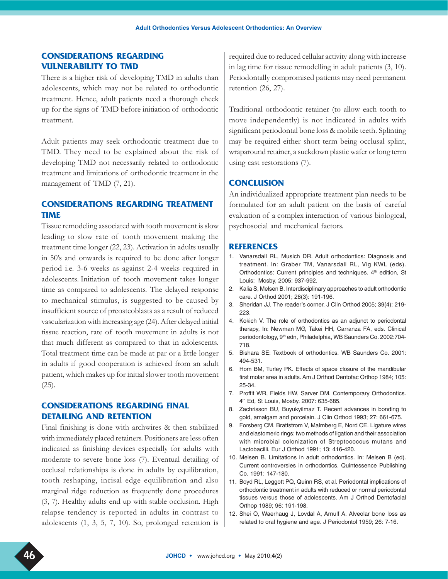# CONSIDERATIONS REGARDING VULNERABILITY TO TMD

There is a higher risk of developing TMD in adults than adolescents, which may not be related to orthodontic treatment. Hence, adult patients need a thorough check up for the signs of TMD before initiation of orthodontic treatment.

Adult patients may seek orthodontic treatment due to TMD. They need to be explained about the risk of developing TMD not necessarily related to orthodontic treatment and limitations of orthodontic treatment in the management of TMD (7, 21).

# CONSIDERATIONS REGARDING TREATMENT TIME

Tissue remodeling associated with tooth movement is slow leading to slow rate of tooth movement making the treatment time longer (22, 23). Activation in adults usually in 50's and onwards is required to be done after longer period i.e. 3-6 weeks as against 2-4 weeks required in adolescents. Initiation of tooth movement takes longer time as compared to adolescents. The delayed response to mechanical stimulus, is suggested to be caused by insufficient source of preosteoblasts as a result of reduced vascularization with increasing age (24). After delayed initial tissue reaction, rate of tooth movement in adults is not that much different as compared to that in adolescents. Total treatment time can be made at par or a little longer in adults if good cooperation is achieved from an adult patient, which makes up for initial slower tooth movement (25).

# CONSIDERATIONS REGARDING FINAL DETAILING AND RETENTION

Final finishing is done with archwires & then stabilized with immediately placed retainers. Positioners are less often indicated as finishing devices especially for adults with moderate to severe bone loss (7). Eventual detailing of occlusal relationships is done in adults by equilibration, tooth reshaping, incisal edge equilibration and also marginal ridge reduction as frequently done procedures (3, 7). Healthy adults end up with stable occlusion. High relapse tendency is reported in adults in contrast to adolescents (1, 3, 5, 7, 10). So, prolonged retention is

required due to reduced cellular activity along with increase in lag time for tissue remodelling in adult patients (3, 10). Periodontally compromised patients may need permanent retention (26, 27).

Traditional orthodontic retainer (to allow each tooth to move independently) is not indicated in adults with significant periodontal bone loss & mobile teeth. Splinting may be required either short term being occlusal splint, wraparound retainer, a suckdown plastic wafer or long term using cast restorations (7).

## **CONCLUSION**

An individualized appropriate treatment plan needs to be formulated for an adult patient on the basis of careful evaluation of a complex interaction of various biological, psychosocial and mechanical factors.

#### **REFERENCES**

- 1. Vanarsdall RL, Musich DR. Adult orthodontics: Diagnosis and treatment. In: Graber TM, Vanarsdall RL, Vig KWL (eds). Orthodontics: Current principles and techniques. 4<sup>th</sup> edition, St Louis: Mosby, 2005: 937-992.
- 2. Kalia S, Melsen B. Interdisciplinary approaches to adult orthodontic care. J Orthod 2001; 28(3): 191-196.
- 3. Sheridan JJ. The reader's corner. J Clin Orthod 2005; 39(4): 219- 223.
- 4. Kokich V. The role of orthodontics as an adjunct to periodontal therapy, In: Newman MG, Takei HH, Carranza FA, eds. Clinical periodontology, 9<sup>th</sup> edn, Philadelphia, WB Saunders Co. 2002:704-718.
- 5. Bishara SE: Textbook of orthodontics. WB Saunders Co. 2001: 494-531.
- 6. Hom BM, Turley PK. Effects of space closure of the mandibular first molar area in adults. Am J Orthod Dentofac Orthop 1984; 105: 25-34.
- 7. Proffit WR, Fields HW, Sarver DM. Contemporary Orthodontics. 4th Ed, St Louis, Mosby. 2007: 635-685.
- 8. Zachrisson BU, Buyukyilmaz T. Recent advances in bonding to gold, amalgam and porcelain. J Clin Orthod 1993; 27: 661-675.
- 9. Forsberg CM, Brattstrom V, Malmberg E, Nord CE. Ligature wires and elastomeric rings: two methods of ligation and their association with microbial colonization of Streptococcus mutans and Lactobacilli. Eur J Orthod 1991; 13: 416-420.
- 10. Melsen B. Limitations in adult orthodontics. In: Melsen B (ed). Current controversies in orthodontics. Quintessence Publishing Co. 1991: 147-180.
- 11. Boyd RL, Leggott PQ, Quinn RS, et al. Periodontal implications of orthodontic treatment in adults with reduced or normal periodontal tissues versus those of adolescents. Am J Orthod Dentofacial Orthop 1989; 96: 191-198.
- 12. Shei O, Waerhaug J, Lovdal A, Arnulf A. Alveolar bone loss as related to oral hygiene and age. J Periodontol 1959; 26: 7-16.